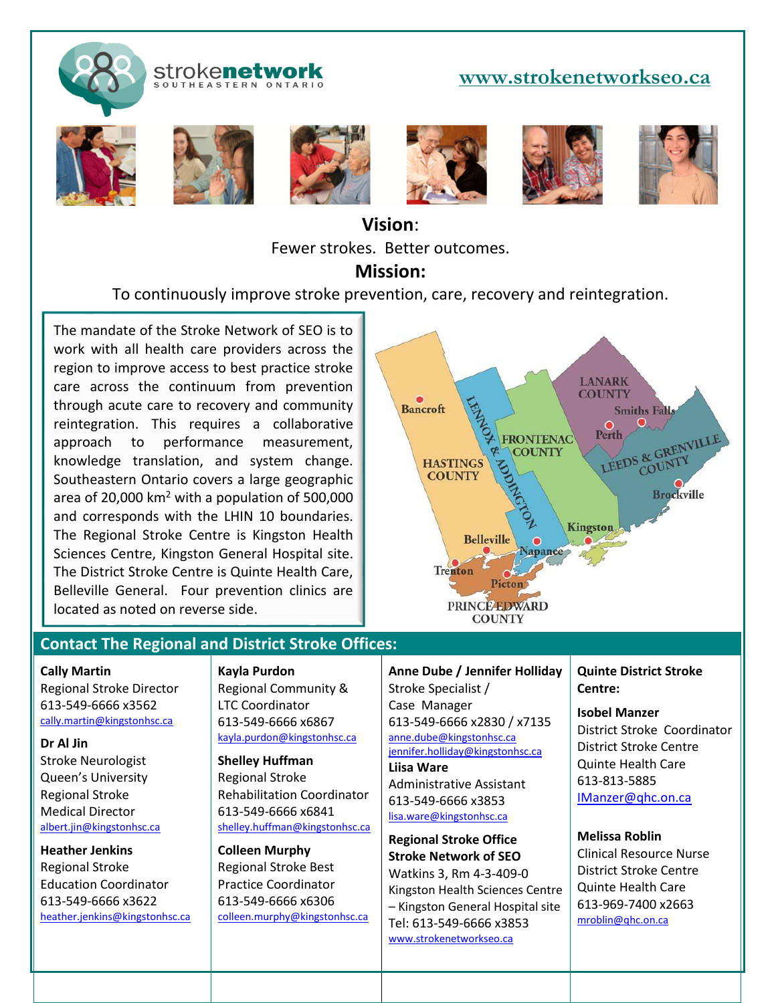

#### stroke**network** SOUTHEASTERN ONTARIO

## **[www.strokenetworkseo.ca](http://www.strokenetworkseo.ca/)**













# **Vision**: Fewer strokes. Better outcomes.

## **Mission:**

To continuously improve stroke prevention, care, recovery and reintegration.

The mandate of the Stroke Network of SEO is to work with all health care providers across the region to improve access to best practice stroke care across the continuum from prevention through acute care to recovery and community reintegration. This requires a collaborative approach to performance measurement, knowledge translation, and system change. Southeastern Ontario covers a large geographic area of 20,000  $km^2$  with a population of 500,000 and corresponds with the LHIN 10 boundaries. The Regional Stroke Centre is Kingston Health Sciences Centre, Kingston General Hospital site. The District Stroke Centre is Quinte Health Care, Belleville General. Four prevention clinics are located as noted on reverse side.



### **Contact The Regional and District Stroke Offices:**

#### **Cally Martin**

j

Regional Stroke Director 613-549-6666 x3562 [cally.martin@kingstonhsc.ca](mailto:cally.martin@kingstonhsc.ca)

**Dr Al Jin** Stroke Neurologist Queen's University Regional Stroke Medical Director [albert.jin@kingstonhsc.ca](mailto:albert.jin@kingstonhsc.ca)

**Heather Jenkins** Regional Stroke Education Coordinator 613-549-6666 x3622 [heather.jenkins@kingstonhsc.ca](mailto:heather.jenkins@kingstonhsc.ca) **Kayla Purdon** Regional Community & LTC Coordinator 613-549-6666 x6867 [kayla.purdon@kingstonhsc.ca](mailto:kayla.purdon@kingstonhsc.ca)

**Shelley Huffman** Regional Stroke Rehabilitation Coordinator 613-549-6666 x6841 [shelley.huffman@kingstonhsc.ca](mailto:shelley.huffman@kingstonhsc.ca)

**Colleen Murphy** Regional Stroke Best Practice Coordinator 613-549-6666 x6306 [colleen.murphy@kingstonhsc.ca](mailto:colleen.murphy@kingstonhsc.ca) **Anne Dube / Jennifer Holliday** Stroke Specialist / Case Manager 613-549-6666 x2830 / x7135 [anne.dube@kingstonhsc.ca](mailto:anne.dube@kingstonhsc.ca) jennifer.holliday@kingstonhsc.ca **Liisa Ware** Administrative Assistant

613-549-6666 x3853 [lisa.ware@kingstonhsc.ca](mailto:lisa.ware@kingstonhsc.ca)

**Regional Stroke Office Stroke Network of SEO** Watkins 3, Rm 4-3-409-0 Kingston Health Sciences Centre – Kingston General Hospital site Tel: 613-549-6666 x3853 [www.strokenetworkseo.ca](http://www.strokenetworkseo.ca/)

**Quinte District Stroke Centre:**

**Isobel Manzer** District Stroke Coordinator District Stroke Centre Quinte Health Care 613-813-5885 [IManzer@qhc.on.ca](mailto:IManzer@qhc.on.ca)

**Melissa Roblin** Clinical Resource Nurse District Stroke Centre Quinte Health Care 613-969-7400 x2663 [mroblin@qhc.on.ca](mailto:mroblin@qhc.on.ca)